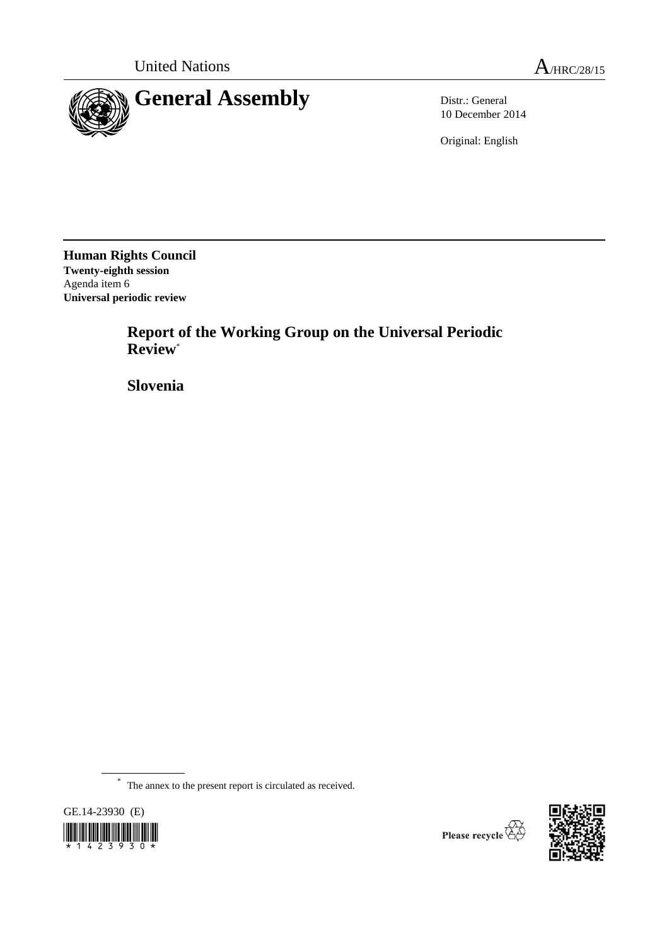

10 December 2014

Original: English

**Human Rights Council Twenty-eighth session** Agenda item 6 **Universal periodic review**

> **Report of the Working Group on the Universal Periodic Review**\*

**Slovenia**

\* The annex to the present report is circulated as received.



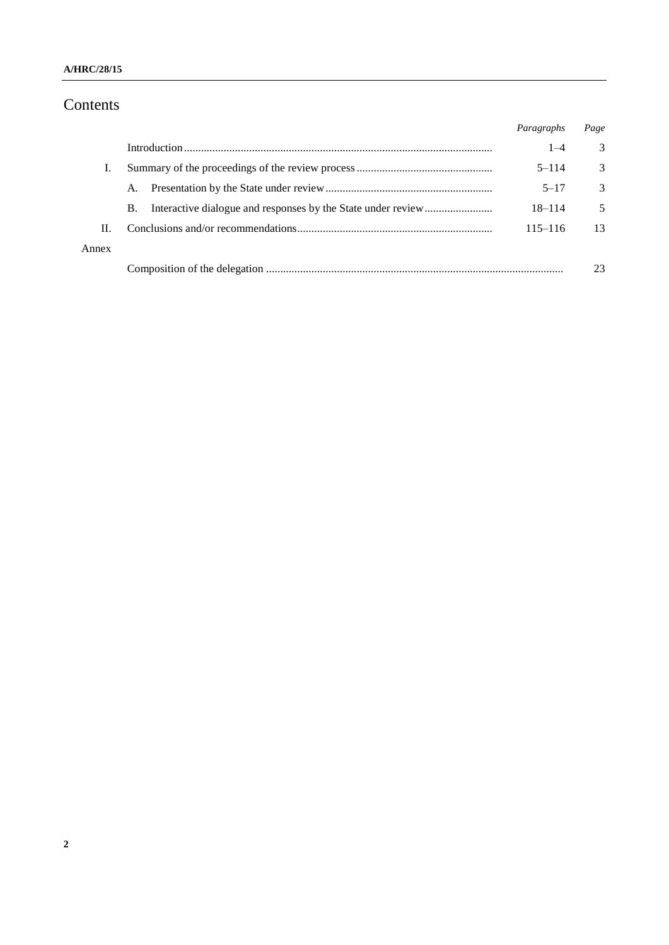### **A/HRC/28/15**

# Contents

|       |           | Paragraphs  | Page          |
|-------|-----------|-------------|---------------|
|       |           | $1 - 4$     | 3             |
|       |           | $5 - 114$   | 3             |
|       | A.        | $5 - 17$    | $\mathcal{R}$ |
|       | <b>B.</b> | $18 - 114$  | 5             |
| Н.    |           | $115 - 116$ | 13            |
| Annex |           |             |               |
|       |           |             | 23            |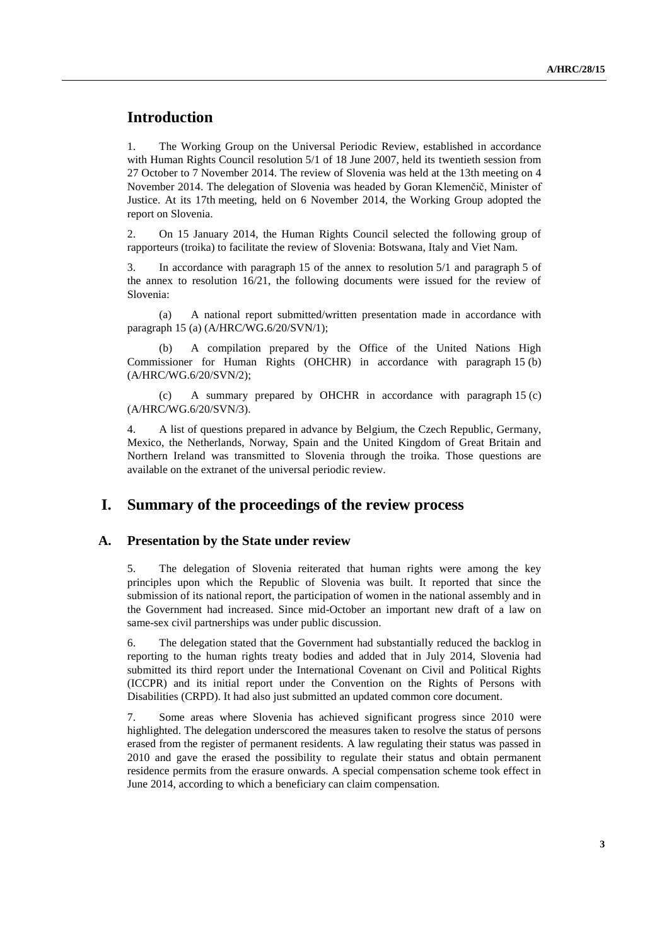# **Introduction**

1. The Working Group on the Universal Periodic Review, established in accordance with Human Rights Council resolution 5/1 of 18 June 2007, held its twentieth session from 27 October to 7 November 2014. The review of Slovenia was held at the 13th meeting on 4 November 2014. The delegation of Slovenia was headed by Goran Klemenčič, Minister of Justice. At its 17th meeting, held on 6 November 2014, the Working Group adopted the report on Slovenia.

2. On 15 January 2014, the Human Rights Council selected the following group of rapporteurs (troika) to facilitate the review of Slovenia: Botswana, Italy and Viet Nam.

3. In accordance with paragraph 15 of the annex to resolution 5/1 and paragraph 5 of the annex to resolution 16/21, the following documents were issued for the review of Slovenia:

(a) A national report submitted/written presentation made in accordance with paragraph 15 (a) (A/HRC/WG.6/20/SVN/1);

(b) A compilation prepared by the Office of the United Nations High Commissioner for Human Rights (OHCHR) in accordance with paragraph 15 (b) (A/HRC/WG.6/20/SVN/2);

(c) A summary prepared by OHCHR in accordance with paragraph 15 (c) (A/HRC/WG.6/20/SVN/3).

4. A list of questions prepared in advance by Belgium, the Czech Republic, Germany, Mexico, the Netherlands, Norway, Spain and the United Kingdom of Great Britain and Northern Ireland was transmitted to Slovenia through the troika. Those questions are available on the extranet of the universal periodic review.

## **I. Summary of the proceedings of the review process**

#### **A. Presentation by the State under review**

5. The delegation of Slovenia reiterated that human rights were among the key principles upon which the Republic of Slovenia was built. It reported that since the submission of its national report, the participation of women in the national assembly and in the Government had increased. Since mid-October an important new draft of a law on same-sex civil partnerships was under public discussion.

6. The delegation stated that the Government had substantially reduced the backlog in reporting to the human rights treaty bodies and added that in July 2014, Slovenia had submitted its third report under the International Covenant on Civil and Political Rights (ICCPR) and its initial report under the [Convention on the Rights of Persons with](http://www.ohchr.org/EN/HRBodies/CRPD/Pages/ConventionRightsPersonsWithDisabilities.aspx)  [Disabilities](http://www.ohchr.org/EN/HRBodies/CRPD/Pages/ConventionRightsPersonsWithDisabilities.aspx) (CRPD). It had also just submitted an updated common core document.

7. Some areas where Slovenia has achieved significant progress since 2010 were highlighted. The delegation underscored the measures taken to resolve the status of persons erased from the register of permanent residents. A law regulating their status was passed in 2010 and gave the erased the possibility to regulate their status and obtain permanent residence permits from the erasure onwards. A special compensation scheme took effect in June 2014, according to which a beneficiary can claim compensation.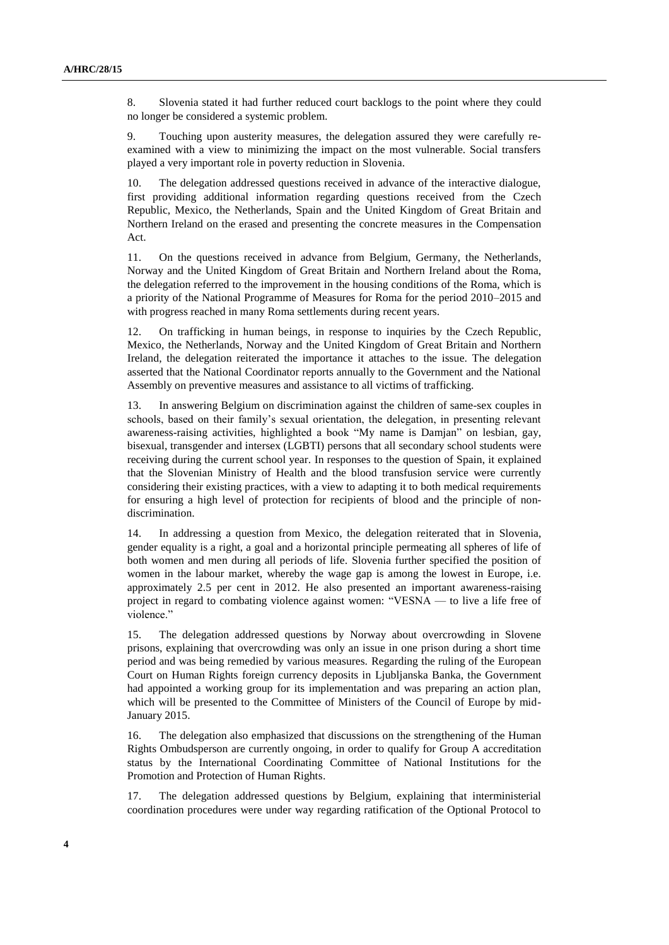8. Slovenia stated it had further reduced court backlogs to the point where they could no longer be considered a systemic problem.

9. Touching upon austerity measures, the delegation assured they were carefully reexamined with a view to minimizing the impact on the most vulnerable. Social transfers played a very important role in poverty reduction in Slovenia.

10. The delegation addressed questions received in advance of the interactive dialogue, first providing additional information regarding questions received from the Czech Republic, Mexico, the Netherlands, Spain and the United Kingdom of Great Britain and Northern Ireland on the erased and presenting the concrete measures in the Compensation Act.

11. On the questions received in advance from Belgium, Germany, the Netherlands, Norway and the United Kingdom of Great Britain and Northern Ireland about the Roma, the delegation referred to the improvement in the housing conditions of the Roma, which is a priority of the National Programme of Measures for Roma for the period 2010–2015 and with progress reached in many Roma settlements during recent years.

12. On trafficking in human beings, in response to inquiries by the Czech Republic, Mexico, the Netherlands, Norway and the United Kingdom of Great Britain and Northern Ireland, the delegation reiterated the importance it attaches to the issue. The delegation asserted that the National Coordinator reports annually to the Government and the National Assembly on preventive measures and assistance to all victims of trafficking.

13. In answering Belgium on discrimination against the children of same-sex couples in schools, based on their family's sexual orientation, the delegation, in presenting relevant awareness-raising activities, highlighted a book "My name is Damjan" on lesbian, gay, bisexual, transgender and intersex (LGBTI) persons that all secondary school students were receiving during the current school year. In responses to the question of Spain, it explained that the Slovenian Ministry of Health and the blood transfusion service were currently considering their existing practices, with a view to adapting it to both medical requirements for ensuring a high level of protection for recipients of blood and the principle of nondiscrimination.

14. In addressing a question from Mexico, the delegation reiterated that in Slovenia, gender equality is a right, a goal and a horizontal principle permeating all spheres of life of both women and men during all periods of life. Slovenia further specified the position of women in the labour market, whereby the wage gap is among the lowest in Europe, i.e. approximately 2.5 per cent in 2012. He also presented an important awareness-raising project in regard to combating violence against women: "VESNA — to live a life free of violence."

15. The delegation addressed questions by Norway about overcrowding in Slovene prisons, explaining that overcrowding was only an issue in one prison during a short time period and was being remedied by various measures. Regarding the ruling of the European Court on Human Rights foreign currency deposits in Ljubljanska Banka, the Government had appointed a working group for its implementation and was preparing an action plan, which will be presented to the Committee of Ministers of the Council of Europe by mid-January 2015.

16. The delegation also emphasized that discussions on the strengthening of the Human Rights Ombudsperson are currently ongoing, in order to qualify for Group A accreditation status by the International Coordinating Committee of National Institutions for the Promotion and Protection of Human Rights.

17. The delegation addressed questions by Belgium, explaining that interministerial coordination procedures were under way regarding ratification of the Optional Protocol to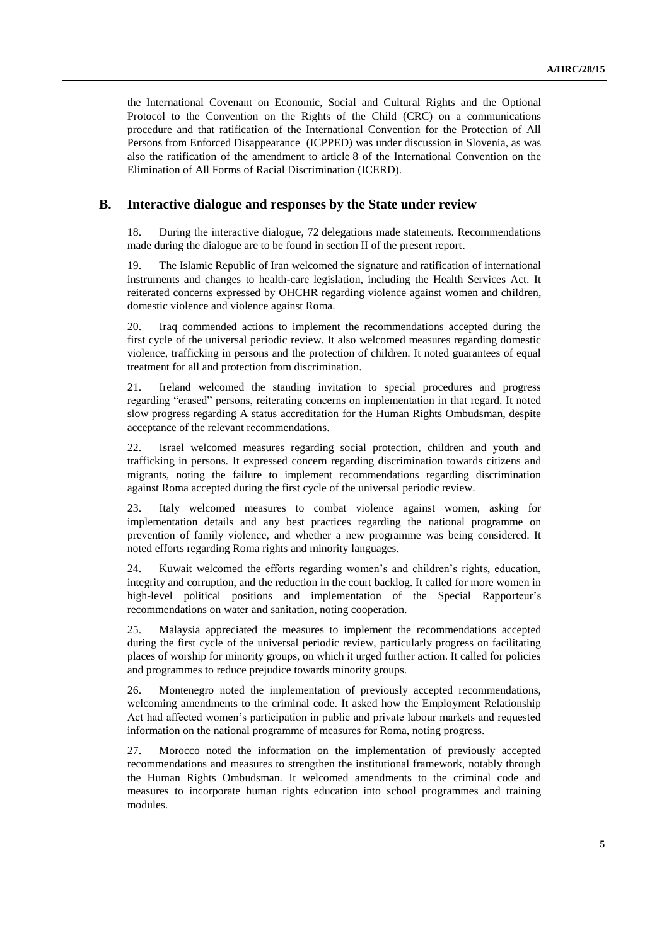the International Covenant on Economic, Social and Cultural Rights and the Optional Protocol to the Convention on the Rights of the Child (CRC) on a communications procedure and that ratification of the International Convention for the Protection of All Persons from Enforced Disappearance (ICPPED) was under discussion in Slovenia, as was also the ratification of the amendment to article 8 of the [International Convention on the](http://www.ohchr.org/EN/ProfessionalInterest/Pages/CERD.aspx)  [Elimination of All Forms of Racial Discrimination](http://www.ohchr.org/EN/ProfessionalInterest/Pages/CERD.aspx) (ICERD).

### **B. Interactive dialogue and responses by the State under review**

18. During the interactive dialogue, 72 delegations made statements. Recommendations made during the dialogue are to be found in section II of the present report.

19. The Islamic Republic of Iran welcomed the signature and ratification of international instruments and changes to health-care legislation, including the Health Services Act. It reiterated concerns expressed by OHCHR regarding violence against women and children, domestic violence and violence against Roma.

20. Iraq commended actions to implement the recommendations accepted during the first cycle of the universal periodic review. It also welcomed measures regarding domestic violence, trafficking in persons and the protection of children. It noted guarantees of equal treatment for all and protection from discrimination.

21. Ireland welcomed the standing invitation to special procedures and progress regarding "erased" persons, reiterating concerns on implementation in that regard. It noted slow progress regarding A status accreditation for the Human Rights Ombudsman, despite acceptance of the relevant recommendations.

22. Israel welcomed measures regarding social protection, children and youth and trafficking in persons. It expressed concern regarding discrimination towards citizens and migrants, noting the failure to implement recommendations regarding discrimination against Roma accepted during the first cycle of the universal periodic review.

23. Italy welcomed measures to combat violence against women, asking for implementation details and any best practices regarding the national programme on prevention of family violence, and whether a new programme was being considered. It noted efforts regarding Roma rights and minority languages.

24. Kuwait welcomed the efforts regarding women's and children's rights, education, integrity and corruption, and the reduction in the court backlog. It called for more women in high-level political positions and implementation of the Special Rapporteur's recommendations on water and sanitation, noting cooperation.

25. Malaysia appreciated the measures to implement the recommendations accepted during the first cycle of the universal periodic review, particularly progress on facilitating places of worship for minority groups, on which it urged further action. It called for policies and programmes to reduce prejudice towards minority groups.

26. Montenegro noted the implementation of previously accepted recommendations, welcoming amendments to the criminal code. It asked how the Employment Relationship Act had affected women's participation in public and private labour markets and requested information on the national programme of measures for Roma, noting progress.

27. Morocco noted the information on the implementation of previously accepted recommendations and measures to strengthen the institutional framework, notably through the Human Rights Ombudsman. It welcomed amendments to the criminal code and measures to incorporate human rights education into school programmes and training modules.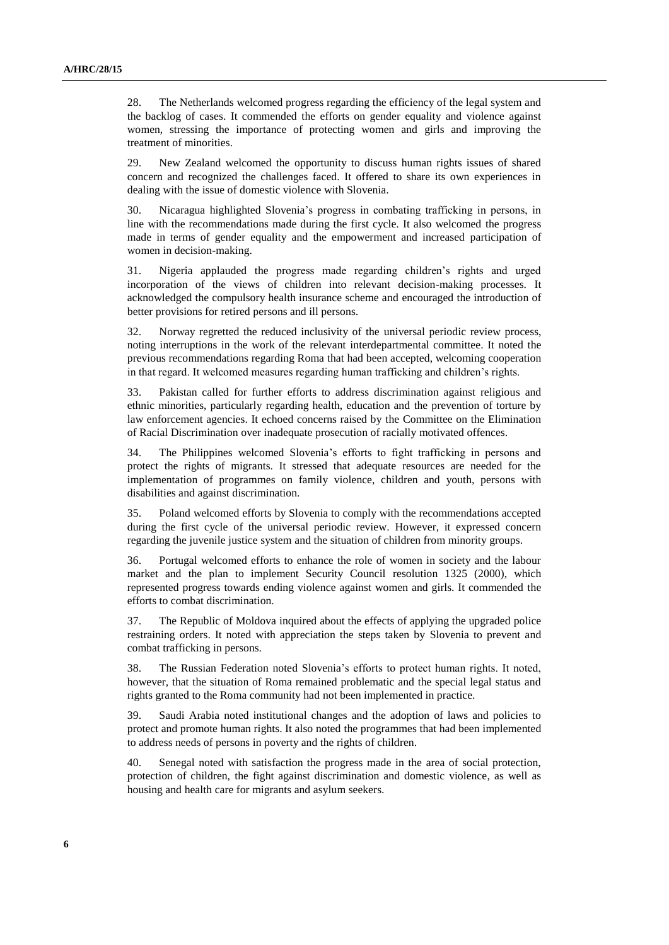28. The Netherlands welcomed progress regarding the efficiency of the legal system and the backlog of cases. It commended the efforts on gender equality and violence against women, stressing the importance of protecting women and girls and improving the treatment of minorities.

29. New Zealand welcomed the opportunity to discuss human rights issues of shared concern and recognized the challenges faced. It offered to share its own experiences in dealing with the issue of domestic violence with Slovenia.

30. Nicaragua highlighted Slovenia's progress in combating trafficking in persons, in line with the recommendations made during the first cycle. It also welcomed the progress made in terms of gender equality and the empowerment and increased participation of women in decision-making.

31. Nigeria applauded the progress made regarding children's rights and urged incorporation of the views of children into relevant decision-making processes. It acknowledged the compulsory health insurance scheme and encouraged the introduction of better provisions for retired persons and ill persons.

32. Norway regretted the reduced inclusivity of the universal periodic review process, noting interruptions in the work of the relevant interdepartmental committee. It noted the previous recommendations regarding Roma that had been accepted, welcoming cooperation in that regard. It welcomed measures regarding human trafficking and children's rights.

33. Pakistan called for further efforts to address discrimination against religious and ethnic minorities, particularly regarding health, education and the prevention of torture by law enforcement agencies. It echoed concerns raised by the Committee on the Elimination of Racial Discrimination over inadequate prosecution of racially motivated offences.

34. The Philippines welcomed Slovenia's efforts to fight trafficking in persons and protect the rights of migrants. It stressed that adequate resources are needed for the implementation of programmes on family violence, children and youth, persons with disabilities and against discrimination.

35. Poland welcomed efforts by Slovenia to comply with the recommendations accepted during the first cycle of the universal periodic review. However, it expressed concern regarding the juvenile justice system and the situation of children from minority groups.

36. Portugal welcomed efforts to enhance the role of women in society and the labour market and the plan to implement Security Council resolution 1325 (2000), which represented progress towards ending violence against women and girls. It commended the efforts to combat discrimination.

37. The Republic of Moldova inquired about the effects of applying the upgraded police restraining orders. It noted with appreciation the steps taken by Slovenia to prevent and combat trafficking in persons.

38. The Russian Federation noted Slovenia's efforts to protect human rights. It noted, however, that the situation of Roma remained problematic and the special legal status and rights granted to the Roma community had not been implemented in practice.

39. Saudi Arabia noted institutional changes and the adoption of laws and policies to protect and promote human rights. It also noted the programmes that had been implemented to address needs of persons in poverty and the rights of children.

40. Senegal noted with satisfaction the progress made in the area of social protection, protection of children, the fight against discrimination and domestic violence, as well as housing and health care for migrants and asylum seekers.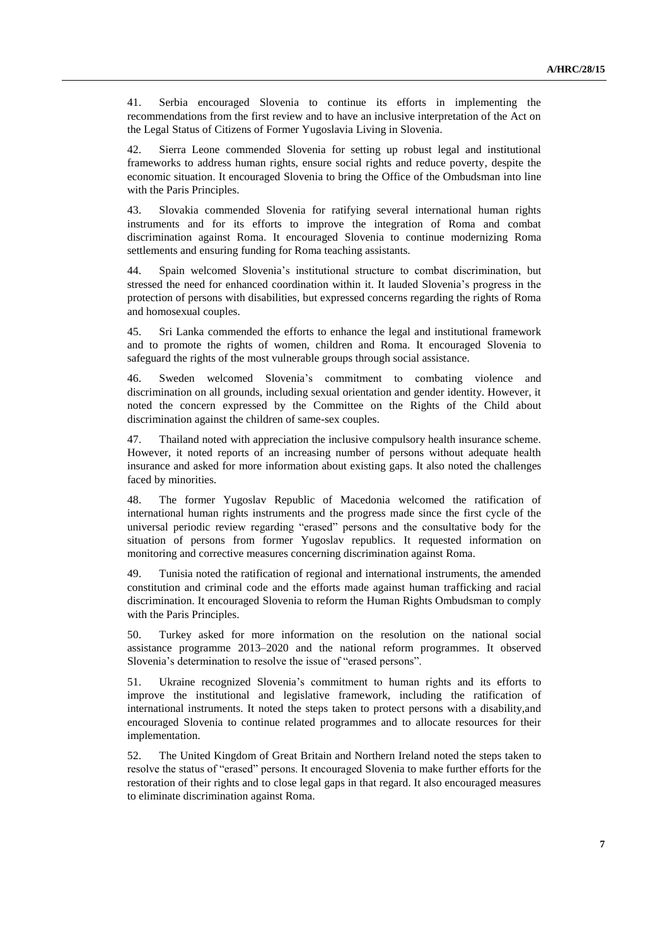41. Serbia encouraged Slovenia to continue its efforts in implementing the recommendations from the first review and to have an inclusive interpretation of the Act on the Legal Status of Citizens of Former Yugoslavia Living in Slovenia.

42. Sierra Leone commended Slovenia for setting up robust legal and institutional frameworks to address human rights, ensure social rights and reduce poverty, despite the economic situation. It encouraged Slovenia to bring the Office of the Ombudsman into line with the Paris Principles.

43. Slovakia commended Slovenia for ratifying several international human rights instruments and for its efforts to improve the integration of Roma and combat discrimination against Roma. It encouraged Slovenia to continue modernizing Roma settlements and ensuring funding for Roma teaching assistants.

44. Spain welcomed Slovenia's institutional structure to combat discrimination, but stressed the need for enhanced coordination within it. It lauded Slovenia's progress in the protection of persons with disabilities, but expressed concerns regarding the rights of Roma and homosexual couples.

45. Sri Lanka commended the efforts to enhance the legal and institutional framework and to promote the rights of women, children and Roma. It encouraged Slovenia to safeguard the rights of the most vulnerable groups through social assistance.

46. Sweden welcomed Slovenia's commitment to combating violence and discrimination on all grounds, including sexual orientation and gender identity. However, it noted the concern expressed by the Committee on the Rights of the Child about discrimination against the children of same-sex couples.

47. Thailand noted with appreciation the inclusive compulsory health insurance scheme. However, it noted reports of an increasing number of persons without adequate health insurance and asked for more information about existing gaps. It also noted the challenges faced by minorities.

48. The former Yugoslav Republic of Macedonia welcomed the ratification of international human rights instruments and the progress made since the first cycle of the universal periodic review regarding "erased" persons and the consultative body for the situation of persons from former Yugoslav republics. It requested information on monitoring and corrective measures concerning discrimination against Roma.

49. Tunisia noted the ratification of regional and international instruments, the amended constitution and criminal code and the efforts made against human trafficking and racial discrimination. It encouraged Slovenia to reform the Human Rights Ombudsman to comply with the Paris Principles.

50. Turkey asked for more information on the resolution on the national social assistance programme 2013–2020 and the national reform programmes. It observed Slovenia's determination to resolve the issue of "erased persons".

51. Ukraine recognized Slovenia's commitment to human rights and its efforts to improve the institutional and legislative framework, including the ratification of international instruments. It noted the steps taken to protect persons with a disability,and encouraged Slovenia to continue related programmes and to allocate resources for their implementation.

52. The United Kingdom of Great Britain and Northern Ireland noted the steps taken to resolve the status of "erased" persons. It encouraged Slovenia to make further efforts for the restoration of their rights and to close legal gaps in that regard. It also encouraged measures to eliminate discrimination against Roma.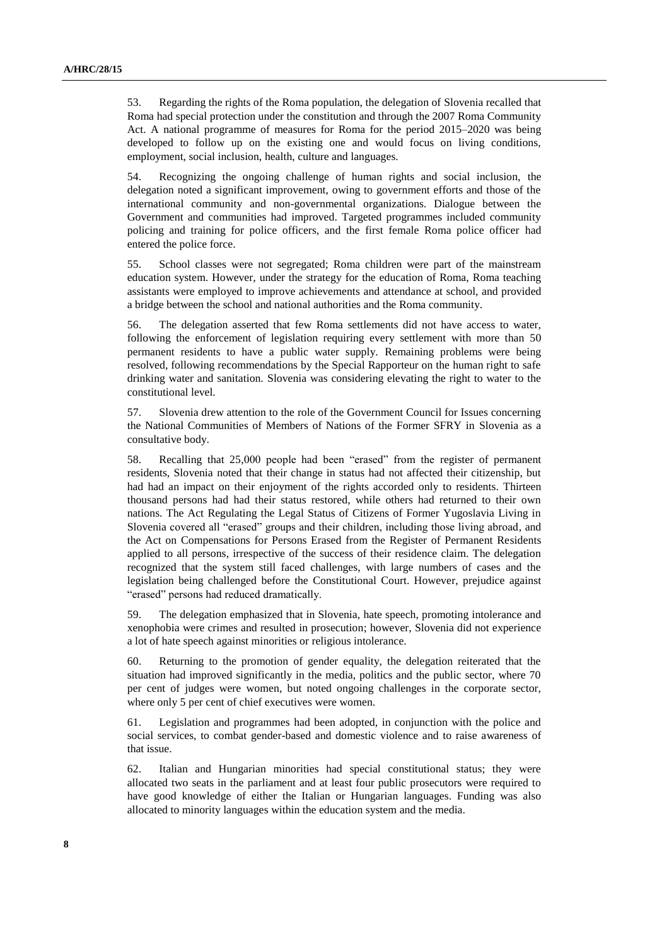53. Regarding the rights of the Roma population, the delegation of Slovenia recalled that Roma had special protection under the constitution and through the 2007 Roma Community Act. A national programme of measures for Roma for the period 2015–2020 was being developed to follow up on the existing one and would focus on living conditions, employment, social inclusion, health, culture and languages.

54. Recognizing the ongoing challenge of human rights and social inclusion, the delegation noted a significant improvement, owing to government efforts and those of the international community and non-governmental organizations. Dialogue between the Government and communities had improved. Targeted programmes included community policing and training for police officers, and the first female Roma police officer had entered the police force.

55. School classes were not segregated; Roma children were part of the mainstream education system. However, under the strategy for the education of Roma, Roma teaching assistants were employed to improve achievements and attendance at school, and provided a bridge between the school and national authorities and the Roma community.

56. The delegation asserted that few Roma settlements did not have access to water, following the enforcement of legislation requiring every settlement with more than 50 permanent residents to have a public water supply. Remaining problems were being resolved, following recommendations by the Special Rapporteur on the human right to safe drinking water and sanitation. Slovenia was considering elevating the right to water to the constitutional level.

57. Slovenia drew attention to the role of the Government Council for Issues concerning the National Communities of Members of Nations of the Former SFRY in Slovenia as a consultative body.

58. Recalling that 25,000 people had been "erased" from the register of permanent residents, Slovenia noted that their change in status had not affected their citizenship, but had had an impact on their enjoyment of the rights accorded only to residents. Thirteen thousand persons had had their status restored, while others had returned to their own nations. The Act Regulating the Legal Status of Citizens of Former Yugoslavia Living in Slovenia covered all "erased" groups and their children, including those living abroad, and the Act on Compensations for Persons Erased from the Register of Permanent Residents applied to all persons, irrespective of the success of their residence claim. The delegation recognized that the system still faced challenges, with large numbers of cases and the legislation being challenged before the Constitutional Court. However, prejudice against "erased" persons had reduced dramatically.

59. The delegation emphasized that in Slovenia, hate speech, promoting intolerance and xenophobia were crimes and resulted in prosecution; however, Slovenia did not experience a lot of hate speech against minorities or religious intolerance.

60. Returning to the promotion of gender equality, the delegation reiterated that the situation had improved significantly in the media, politics and the public sector, where 70 per cent of judges were women, but noted ongoing challenges in the corporate sector, where only 5 per cent of chief executives were women.

61. Legislation and programmes had been adopted, in conjunction with the police and social services, to combat gender-based and domestic violence and to raise awareness of that issue.

62. Italian and Hungarian minorities had special constitutional status; they were allocated two seats in the parliament and at least four public prosecutors were required to have good knowledge of either the Italian or Hungarian languages. Funding was also allocated to minority languages within the education system and the media.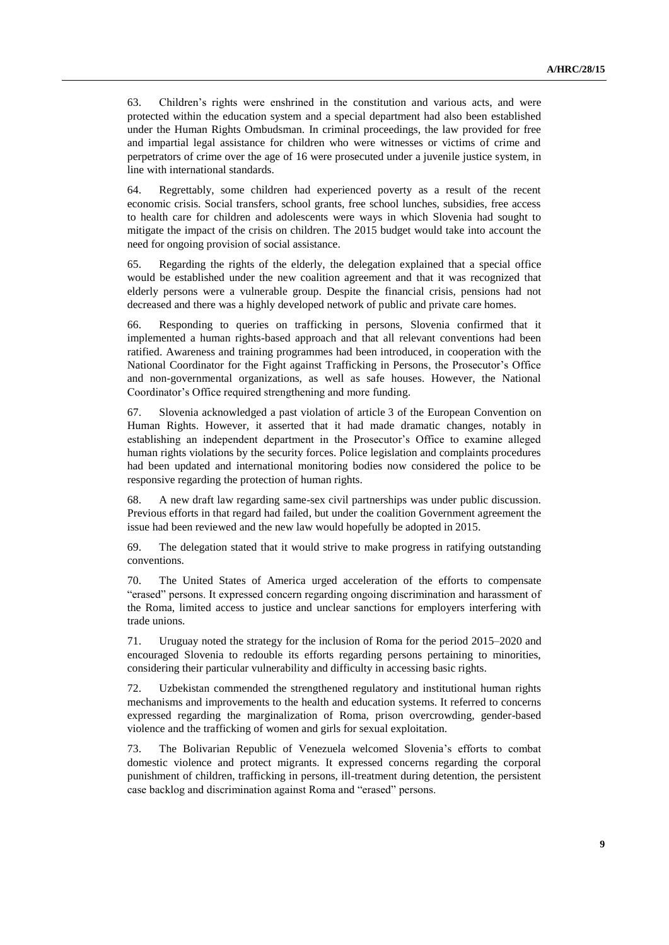63. Children's rights were enshrined in the constitution and various acts, and were protected within the education system and a special department had also been established under the Human Rights Ombudsman. In criminal proceedings, the law provided for free and impartial legal assistance for children who were witnesses or victims of crime and perpetrators of crime over the age of 16 were prosecuted under a juvenile justice system, in line with international standards.

64. Regrettably, some children had experienced poverty as a result of the recent economic crisis. Social transfers, school grants, free school lunches, subsidies, free access to health care for children and adolescents were ways in which Slovenia had sought to mitigate the impact of the crisis on children. The 2015 budget would take into account the need for ongoing provision of social assistance.

65. Regarding the rights of the elderly, the delegation explained that a special office would be established under the new coalition agreement and that it was recognized that elderly persons were a vulnerable group. Despite the financial crisis, pensions had not decreased and there was a highly developed network of public and private care homes.

66. Responding to queries on trafficking in persons, Slovenia confirmed that it implemented a human rights-based approach and that all relevant conventions had been ratified. Awareness and training programmes had been introduced, in cooperation with the National Coordinator for the Fight against Trafficking in Persons, the Prosecutor's Office and non-governmental organizations, as well as safe houses. However, the National Coordinator's Office required strengthening and more funding.

67. Slovenia acknowledged a past violation of article 3 of the European Convention on Human Rights. However, it asserted that it had made dramatic changes, notably in establishing an independent department in the Prosecutor's Office to examine alleged human rights violations by the security forces. Police legislation and complaints procedures had been updated and international monitoring bodies now considered the police to be responsive regarding the protection of human rights.

68. A new draft law regarding same-sex civil partnerships was under public discussion. Previous efforts in that regard had failed, but under the coalition Government agreement the issue had been reviewed and the new law would hopefully be adopted in 2015.

69. The delegation stated that it would strive to make progress in ratifying outstanding conventions.

70. The United States of America urged acceleration of the efforts to compensate "erased" persons. It expressed concern regarding ongoing discrimination and harassment of the Roma, limited access to justice and unclear sanctions for employers interfering with trade unions.

71. Uruguay noted the strategy for the inclusion of Roma for the period 2015–2020 and encouraged Slovenia to redouble its efforts regarding persons pertaining to minorities, considering their particular vulnerability and difficulty in accessing basic rights.

72. Uzbekistan commended the strengthened regulatory and institutional human rights mechanisms and improvements to the health and education systems. It referred to concerns expressed regarding the marginalization of Roma, prison overcrowding, gender-based violence and the trafficking of women and girls for sexual exploitation.

73. The Bolivarian Republic of Venezuela welcomed Slovenia's efforts to combat domestic violence and protect migrants. It expressed concerns regarding the corporal punishment of children, trafficking in persons, ill-treatment during detention, the persistent case backlog and discrimination against Roma and "erased" persons.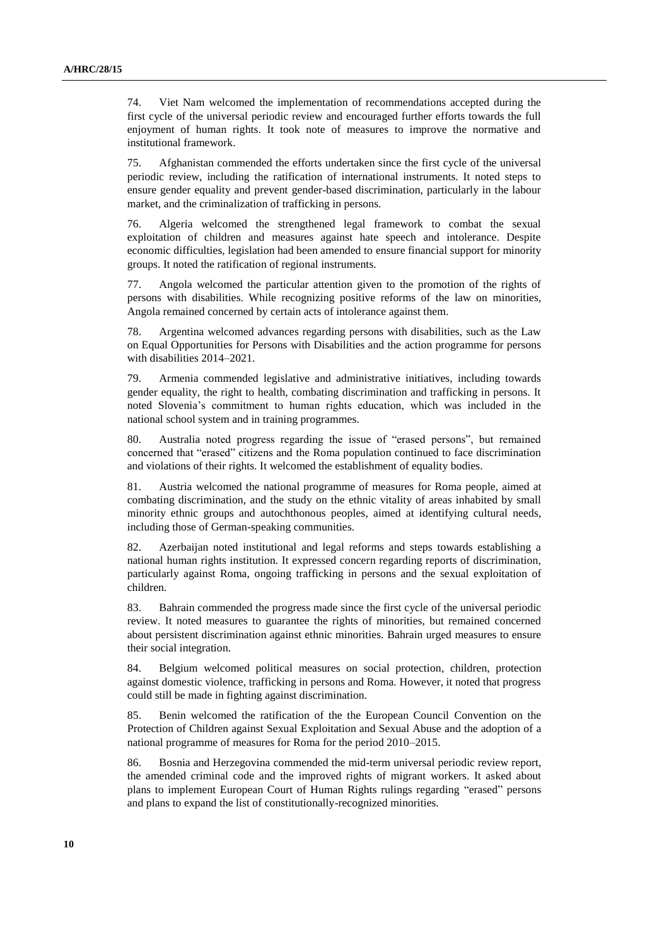74. Viet Nam welcomed the implementation of recommendations accepted during the first cycle of the universal periodic review and encouraged further efforts towards the full enjoyment of human rights. It took note of measures to improve the normative and institutional framework.

75. Afghanistan commended the efforts undertaken since the first cycle of the universal periodic review, including the ratification of international instruments. It noted steps to ensure gender equality and prevent gender-based discrimination, particularly in the labour market, and the criminalization of trafficking in persons.

76. Algeria welcomed the strengthened legal framework to combat the sexual exploitation of children and measures against hate speech and intolerance. Despite economic difficulties, legislation had been amended to ensure financial support for minority groups. It noted the ratification of regional instruments.

77. Angola welcomed the particular attention given to the promotion of the rights of persons with disabilities. While recognizing positive reforms of the law on minorities, Angola remained concerned by certain acts of intolerance against them.

78. Argentina welcomed advances regarding persons with disabilities, such as the Law on Equal Opportunities for Persons with Disabilities and the action programme for persons with disabilities 2014–2021.

79. Armenia commended legislative and administrative initiatives, including towards gender equality, the right to health, combating discrimination and trafficking in persons. It noted Slovenia's commitment to human rights education, which was included in the national school system and in training programmes.

80. Australia noted progress regarding the issue of "erased persons", but remained concerned that "erased" citizens and the Roma population continued to face discrimination and violations of their rights. It welcomed the establishment of equality bodies.

81. Austria welcomed the national programme of measures for Roma people, aimed at combating discrimination, and the study on the ethnic vitality of areas inhabited by small minority ethnic groups and autochthonous peoples, aimed at identifying cultural needs, including those of German-speaking communities.

82. Azerbaijan noted institutional and legal reforms and steps towards establishing a national human rights institution. It expressed concern regarding reports of discrimination, particularly against Roma, ongoing trafficking in persons and the sexual exploitation of children.

83. Bahrain commended the progress made since the first cycle of the universal periodic review. It noted measures to guarantee the rights of minorities, but remained concerned about persistent discrimination against ethnic minorities. Bahrain urged measures to ensure their social integration.

84. Belgium welcomed political measures on social protection, children, protection against domestic violence, trafficking in persons and Roma. However, it noted that progress could still be made in fighting against discrimination.

85. Benin welcomed the ratification of the the European Council Convention on the Protection of Children against Sexual Exploitation and Sexual Abuse and the adoption of a national programme of measures for Roma for the period 2010–2015.

86. Bosnia and Herzegovina commended the mid-term universal periodic review report, the amended criminal code and the improved rights of migrant workers. It asked about plans to implement European Court of Human Rights rulings regarding "erased" persons and plans to expand the list of constitutionally-recognized minorities.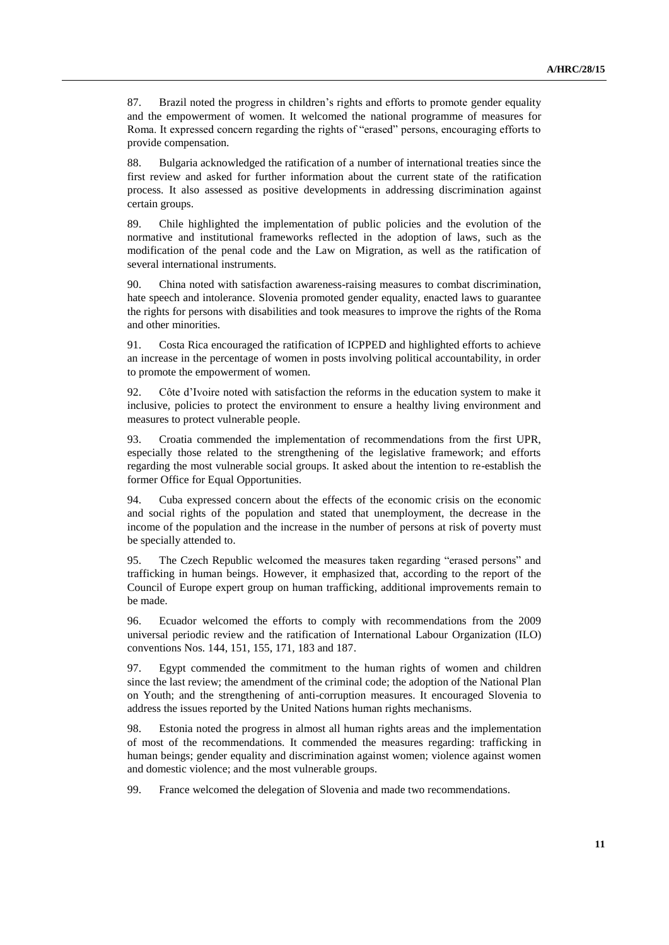87. Brazil noted the progress in children's rights and efforts to promote gender equality and the empowerment of women. It welcomed the national programme of measures for Roma. It expressed concern regarding the rights of "erased" persons, encouraging efforts to provide compensation.

88. Bulgaria acknowledged the ratification of a number of international treaties since the first review and asked for further information about the current state of the ratification process. It also assessed as positive developments in addressing discrimination against certain groups.

89. Chile highlighted the implementation of public policies and the evolution of the normative and institutional frameworks reflected in the adoption of laws, such as the modification of the penal code and the Law on Migration, as well as the ratification of several international instruments.

90. China noted with satisfaction awareness-raising measures to combat discrimination, hate speech and intolerance. Slovenia promoted gender equality, enacted laws to guarantee the rights for persons with disabilities and took measures to improve the rights of the Roma and other minorities.

91. Costa Rica encouraged the ratification of ICPPED and highlighted efforts to achieve an increase in the percentage of women in posts involving political accountability, in order to promote the empowerment of women.

92. Côte d'Ivoire noted with satisfaction the reforms in the education system to make it inclusive, policies to protect the environment to ensure a healthy living environment and measures to protect vulnerable people.

93. Croatia commended the implementation of recommendations from the first UPR, especially those related to the strengthening of the legislative framework; and efforts regarding the most vulnerable social groups. It asked about the intention to re-establish the former Office for Equal Opportunities.

94. Cuba expressed concern about the effects of the economic crisis on the economic and social rights of the population and stated that unemployment, the decrease in the income of the population and the increase in the number of persons at risk of poverty must be specially attended to.

95. The Czech Republic welcomed the measures taken regarding "erased persons" and trafficking in human beings. However, it emphasized that, according to the report of the Council of Europe expert group on human trafficking, additional improvements remain to be made.

96. Ecuador welcomed the efforts to comply with recommendations from the 2009 universal periodic review and the ratification of International Labour Organization (ILO) conventions Nos. 144, 151, 155, 171, 183 and 187.

97. Egypt commended the commitment to the human rights of women and children since the last review; the amendment of the criminal code; the adoption of the National Plan on Youth; and the strengthening of anti-corruption measures. It encouraged Slovenia to address the issues reported by the United Nations human rights mechanisms.

98. Estonia noted the progress in almost all human rights areas and the implementation of most of the recommendations. It commended the measures regarding: trafficking in human beings; gender equality and discrimination against women; violence against women and domestic violence; and the most vulnerable groups.

99. France welcomed the delegation of Slovenia and made two recommendations.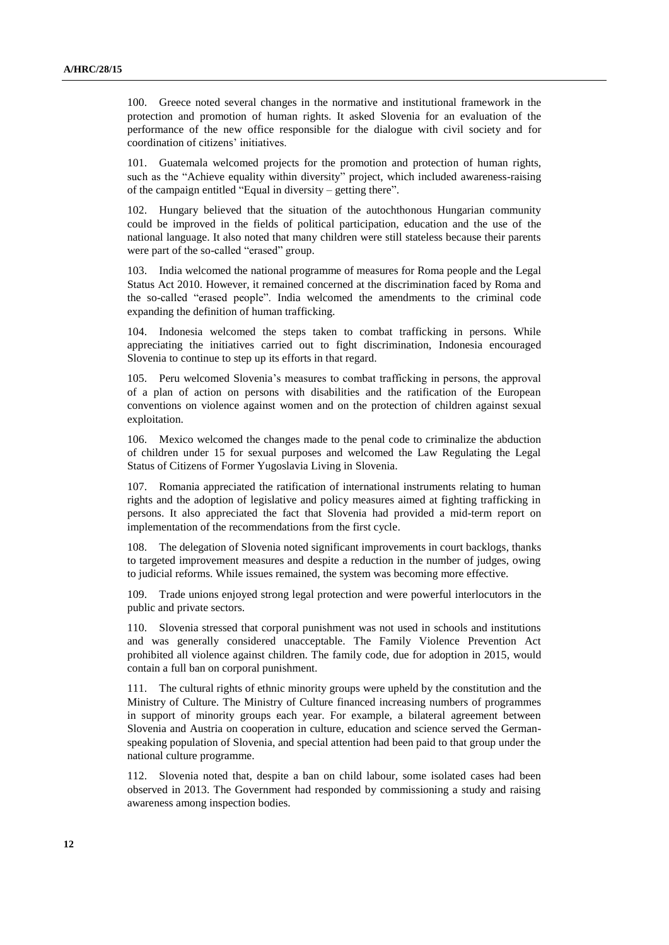100. Greece noted several changes in the normative and institutional framework in the protection and promotion of human rights. It asked Slovenia for an evaluation of the performance of the new office responsible for the dialogue with civil society and for coordination of citizens' initiatives.

101. Guatemala welcomed projects for the promotion and protection of human rights, such as the "Achieve equality within diversity" project, which included awareness-raising of the campaign entitled "Equal in diversity – getting there".

102. Hungary believed that the situation of the autochthonous Hungarian community could be improved in the fields of political participation, education and the use of the national language. It also noted that many children were still stateless because their parents were part of the so-called "erased" group.

103. India welcomed the national programme of measures for Roma people and the Legal Status Act 2010. However, it remained concerned at the discrimination faced by Roma and the so-called "erased people". India welcomed the amendments to the criminal code expanding the definition of human trafficking.

104. Indonesia welcomed the steps taken to combat trafficking in persons. While appreciating the initiatives carried out to fight discrimination, Indonesia encouraged Slovenia to continue to step up its efforts in that regard.

105. Peru welcomed Slovenia's measures to combat trafficking in persons, the approval of a plan of action on persons with disabilities and the ratification of the European conventions on violence against women and on the protection of children against sexual exploitation.

106. Mexico welcomed the changes made to the penal code to criminalize the abduction of children under 15 for sexual purposes and welcomed the Law Regulating the Legal Status of Citizens of Former Yugoslavia Living in Slovenia.

107. Romania appreciated the ratification of international instruments relating to human rights and the adoption of legislative and policy measures aimed at fighting trafficking in persons. It also appreciated the fact that Slovenia had provided a mid-term report on implementation of the recommendations from the first cycle.

108. The delegation of Slovenia noted significant improvements in court backlogs, thanks to targeted improvement measures and despite a reduction in the number of judges, owing to judicial reforms. While issues remained, the system was becoming more effective.

109. Trade unions enjoyed strong legal protection and were powerful interlocutors in the public and private sectors.

110. Slovenia stressed that corporal punishment was not used in schools and institutions and was generally considered unacceptable. The Family Violence Prevention Act prohibited all violence against children. The family code, due for adoption in 2015, would contain a full ban on corporal punishment.

111. The cultural rights of ethnic minority groups were upheld by the constitution and the Ministry of Culture. The Ministry of Culture financed increasing numbers of programmes in support of minority groups each year. For example, a bilateral agreement between Slovenia and Austria on cooperation in culture, education and science served the Germanspeaking population of Slovenia, and special attention had been paid to that group under the national culture programme.

112. Slovenia noted that, despite a ban on child labour, some isolated cases had been observed in 2013. The Government had responded by commissioning a study and raising awareness among inspection bodies.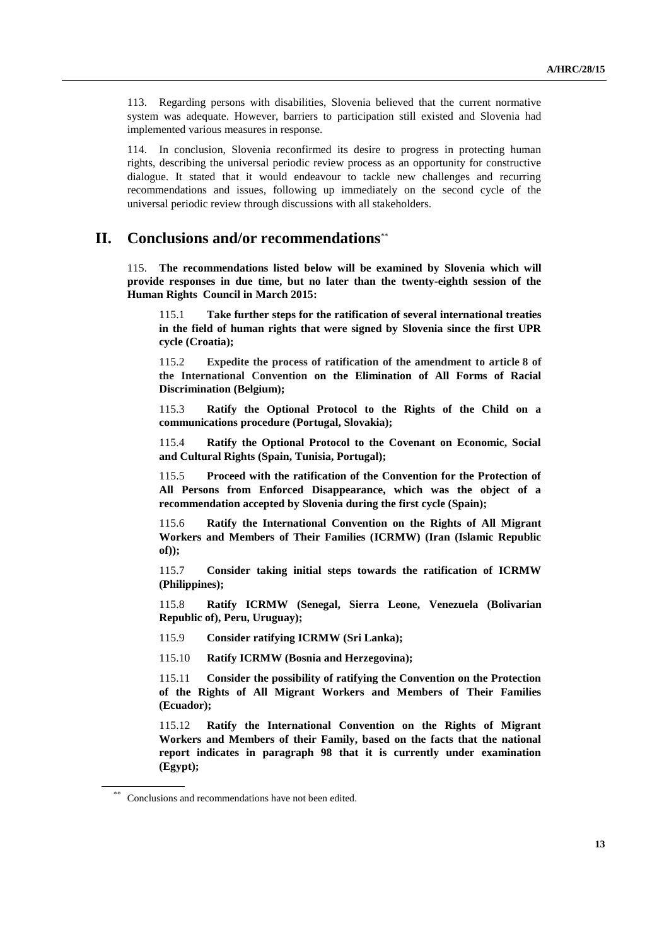113. Regarding persons with disabilities, Slovenia believed that the current normative system was adequate. However, barriers to participation still existed and Slovenia had implemented various measures in response.

114. In conclusion, Slovenia reconfirmed its desire to progress in protecting human rights, describing the universal periodic review process as an opportunity for constructive dialogue. It stated that it would endeavour to tackle new challenges and recurring recommendations and issues, following up immediately on the second cycle of the universal periodic review through discussions with all stakeholders.

## **II. Conclusions and/or recommendations**\*\*

115. **The recommendations listed below will be examined by Slovenia which will provide responses in due time, but no later than the twenty-eighth session of the Human Rights Council in March 2015:**

115.1 **Take further steps for the ratification of several international treaties in the field of human rights that were signed by Slovenia since the first UPR cycle (Croatia);** 

115.2 **Expedite the process of ratification of the amendment to article 8 of the International Convention on the Elimination of All Forms of Racial Discrimination (Belgium);** 

115.3 **Ratify the Optional Protocol to the Rights of the Child on a communications procedure (Portugal, Slovakia);**

115.4 **Ratify the Optional Protocol to the Covenant on Economic, Social and Cultural Rights (Spain, Tunisia, Portugal);**

115.5 **Proceed with the ratification of the Convention for the Protection of All Persons from Enforced Disappearance, which was the object of a recommendation accepted by Slovenia during the first cycle (Spain);** 

115.6 **Ratify the International Convention on the Rights of All Migrant Workers and Members of Their Families (ICRMW) (Iran (Islamic Republic of));** 

115.7 **Consider taking initial steps towards the ratification of ICRMW (Philippines);** 

115.8 **Ratify ICRMW (Senegal, Sierra Leone, Venezuela (Bolivarian Republic of), Peru, Uruguay);**

115.9 **Consider ratifying ICRMW (Sri Lanka);** 

115.10 **Ratify ICRMW (Bosnia and Herzegovina);** 

115.11 **Consider the possibility of ratifying the Convention on the Protection of the Rights of All Migrant Workers and Members of Their Families (Ecuador);** 

115.12 **Ratify the International Convention on the Rights of Migrant Workers and Members of their Family, based on the facts that the national report indicates in paragraph 98 that it is currently under examination (Egypt);**

Conclusions and recommendations have not been edited.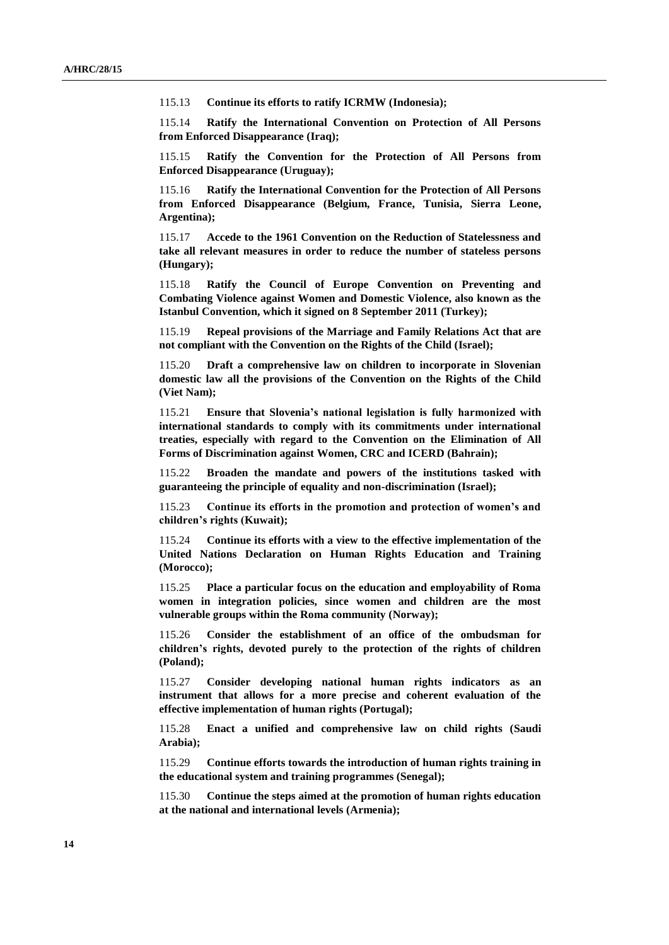115.13 **Continue its efforts to ratify ICRMW (Indonesia);** 

115.14 **Ratify the International Convention on Protection of All Persons from Enforced Disappearance (Iraq);** 

115.15 **Ratify the Convention for the Protection of All Persons from Enforced Disappearance (Uruguay);** 

115.16 **Ratify the International Convention for the Protection of All Persons from Enforced Disappearance (Belgium, France, Tunisia, Sierra Leone, Argentina);**

115.17 **Accede to the 1961 Convention on the Reduction of Statelessness and take all relevant measures in order to reduce the number of stateless persons (Hungary);** 

115.18 **Ratify the Council of Europe Convention on Preventing and Combating Violence against Women and Domestic Violence, also known as the Istanbul Convention, which it signed on 8 September 2011 (Turkey);** 

115.19 **Repeal provisions of the Marriage and Family Relations Act that are not compliant with the Convention on the Rights of the Child (Israel);** 

115.20 **Draft a comprehensive law on children to incorporate in Slovenian domestic law all the provisions of the Convention on the Rights of the Child (Viet Nam);** 

115.21 **Ensure that Slovenia's national legislation is fully harmonized with international standards to comply with its commitments under international treaties, especially with regard to the Convention on the Elimination of All Forms of Discrimination against Women, CRC and ICERD (Bahrain);** 

115.22 **Broaden the mandate and powers of the institutions tasked with guaranteeing the principle of equality and non-discrimination (Israel);** 

115.23 **Continue its efforts in the promotion and protection of women's and children's rights (Kuwait);**

115.24 **Continue its efforts with a view to the effective implementation of the United Nations Declaration on Human Rights Education and Training (Morocco);** 

115.25 **Place a particular focus on the education and employability of Roma women in integration policies, since women and children are the most vulnerable groups within the Roma community (Norway);** 

115.26 **Consider the establishment of an office of the ombudsman for children's rights, devoted purely to the protection of the rights of children (Poland);** 

115.27 **Consider developing national human rights indicators as an instrument that allows for a more precise and coherent evaluation of the effective implementation of human rights (Portugal);** 

115.28 **Enact a unified and comprehensive law on child rights (Saudi Arabia);**

115.29 **Continue efforts towards the introduction of human rights training in the educational system and training programmes (Senegal);**

115.30 **Continue the steps aimed at the promotion of human rights education at the national and international levels (Armenia);**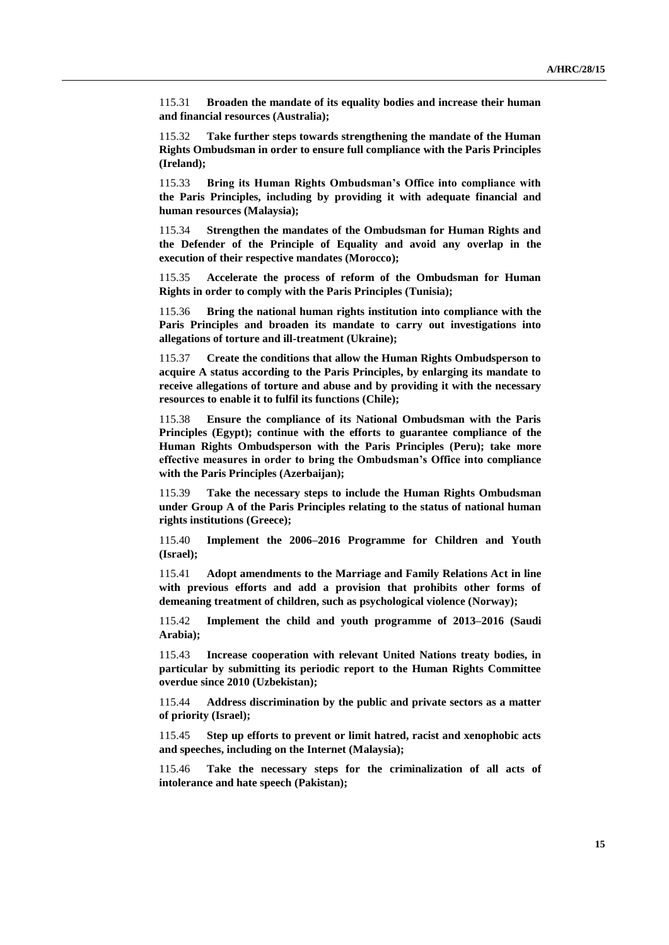115.31 **Broaden the mandate of its equality bodies and increase their human and financial resources (Australia);** 

115.32 **Take further steps towards strengthening the mandate of the Human Rights Ombudsman in order to ensure full compliance with the Paris Principles (Ireland);** 

115.33 **Bring its Human Rights Ombudsman's Office into compliance with the Paris Principles, including by providing it with adequate financial and human resources (Malaysia);** 

115.34 **Strengthen the mandates of the Ombudsman for Human Rights and the Defender of the Principle of Equality and avoid any overlap in the execution of their respective mandates (Morocco);** 

115.35 **Accelerate the process of reform of the Ombudsman for Human Rights in order to comply with the Paris Principles (Tunisia);** 

115.36 **Bring the national human rights institution into compliance with the Paris Principles and broaden its mandate to carry out investigations into allegations of torture and ill-treatment (Ukraine);** 

115.37 **Create the conditions that allow the Human Rights Ombudsperson to acquire A status according to the Paris Principles, by enlarging its mandate to receive allegations of torture and abuse and by providing it with the necessary resources to enable it to fulfil its functions (Chile);** 

115.38 **Ensure the compliance of its National Ombudsman with the Paris Principles (Egypt); continue with the efforts to guarantee compliance of the Human Rights Ombudsperson with the Paris Principles (Peru); take more effective measures in order to bring the Ombudsman's Office into compliance with the Paris Principles (Azerbaijan);** 

115.39 **Take the necessary steps to include the Human Rights Ombudsman under Group A of the Paris Principles relating to the status of national human rights institutions (Greece);** 

115.40 **Implement the 2006–2016 Programme for Children and Youth (Israel);** 

115.41 **Adopt amendments to the Marriage and Family Relations Act in line with previous efforts and add a provision that prohibits other forms of demeaning treatment of children, such as psychological violence (Norway);** 

115.42 **Implement the child and youth programme of 2013–2016 (Saudi Arabia);**

115.43 **Increase cooperation with relevant United Nations treaty bodies, in particular by submitting its periodic report to the Human Rights Committee overdue since 2010 (Uzbekistan);** 

115.44 **Address discrimination by the public and private sectors as a matter of priority (Israel);** 

115.45 **Step up efforts to prevent or limit hatred, racist and xenophobic acts and speeches, including on the Internet (Malaysia);** 

115.46 **Take the necessary steps for the criminalization of all acts of intolerance and hate speech (Pakistan);**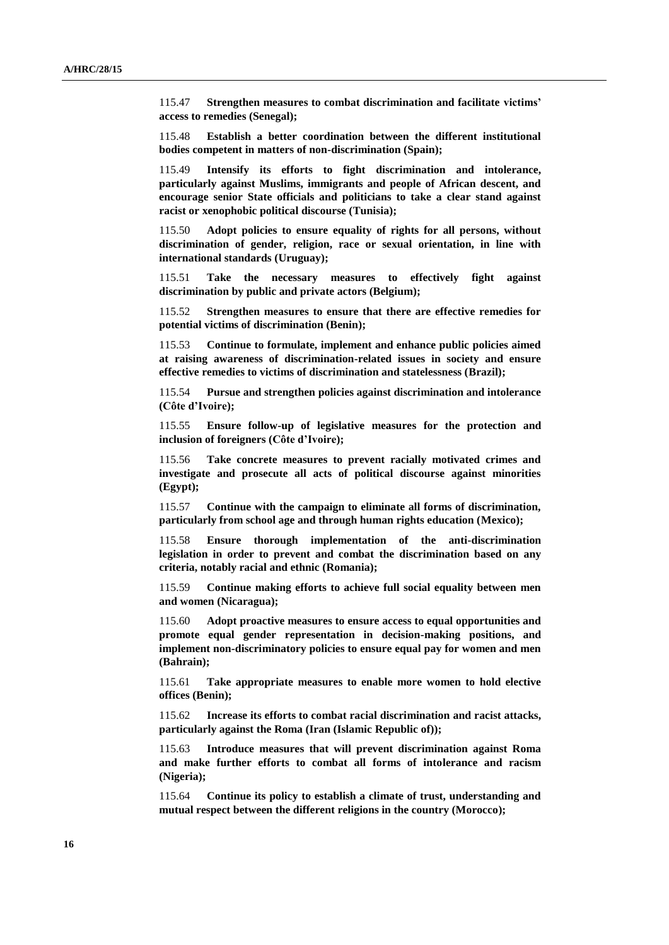115.47 **Strengthen measures to combat discrimination and facilitate victims' access to remedies (Senegal);** 

115.48 **Establish a better coordination between the different institutional bodies competent in matters of non-discrimination (Spain);** 

115.49 **Intensify its efforts to fight discrimination and intolerance, particularly against Muslims, immigrants and people of African descent, and encourage senior State officials and politicians to take a clear stand against racist or xenophobic political discourse (Tunisia);** 

115.50 **Adopt policies to ensure equality of rights for all persons, without discrimination of gender, religion, race or sexual orientation, in line with international standards (Uruguay);** 

115.51 **Take the necessary measures to effectively fight against discrimination by public and private actors (Belgium);**

115.52 **Strengthen measures to ensure that there are effective remedies for potential victims of discrimination (Benin);**

115.53 **Continue to formulate, implement and enhance public policies aimed at raising awareness of discrimination-related issues in society and ensure effective remedies to victims of discrimination and statelessness (Brazil);** 

115.54 **Pursue and strengthen policies against discrimination and intolerance (Côte d'Ivoire);** 

115.55 **Ensure follow-up of legislative measures for the protection and inclusion of foreigners (Côte d'Ivoire);** 

115.56 **Take concrete measures to prevent racially motivated crimes and investigate and prosecute all acts of political discourse against minorities (Egypt);** 

115.57 **Continue with the campaign to eliminate all forms of discrimination, particularly from school age and through human rights education (Mexico);** 

115.58 **Ensure thorough implementation of the anti-discrimination legislation in order to prevent and combat the discrimination based on any criteria, notably racial and ethnic (Romania);** 

115.59 **Continue making efforts to achieve full social equality between men and women (Nicaragua);** 

115.60 **Adopt proactive measures to ensure access to equal opportunities and promote equal gender representation in decision-making positions, and implement non-discriminatory policies to ensure equal pay for women and men (Bahrain);** 

115.61 **Take appropriate measures to enable more women to hold elective offices (Benin);** 

115.62 **Increase its efforts to combat racial discrimination and racist attacks, particularly against the Roma (Iran (Islamic Republic of));** 

115.63 **Introduce measures that will prevent discrimination against Roma and make further efforts to combat all forms of intolerance and racism (Nigeria);** 

115.64 **Continue its policy to establish a climate of trust, understanding and mutual respect between the different religions in the country (Morocco);**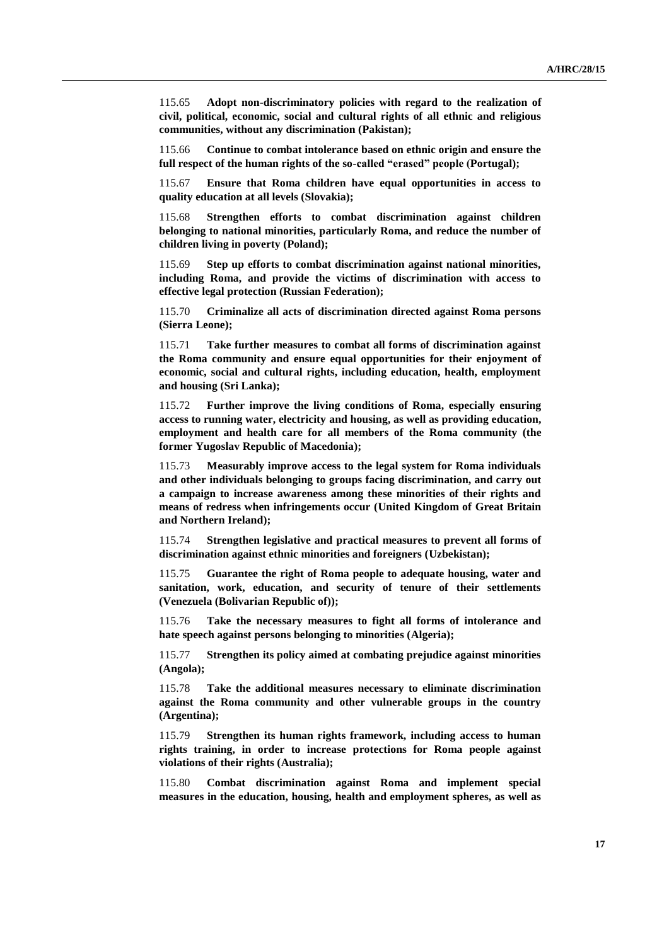115.65 **Adopt non-discriminatory policies with regard to the realization of civil, political, economic, social and cultural rights of all ethnic and religious communities, without any discrimination (Pakistan);** 

115.66 **Continue to combat intolerance based on ethnic origin and ensure the full respect of the human rights of the so-called "erased" people (Portugal);** 

115.67 **Ensure that Roma children have equal opportunities in access to quality education at all levels (Slovakia);** 

115.68 **Strengthen efforts to combat discrimination against children belonging to national minorities, particularly Roma, and reduce the number of children living in poverty (Poland);** 

115.69 **Step up efforts to combat discrimination against national minorities, including Roma, and provide the victims of discrimination with access to effective legal protection (Russian Federation);** 

115.70 **Criminalize all acts of discrimination directed against Roma persons (Sierra Leone);** 

115.71 **Take further measures to combat all forms of discrimination against the Roma community and ensure equal opportunities for their enjoyment of economic, social and cultural rights, including education, health, employment and housing (Sri Lanka);** 

115.72 **Further improve the living conditions of Roma, especially ensuring access to running water, electricity and housing, as well as providing education, employment and health care for all members of the Roma community (the former Yugoslav Republic of Macedonia);** 

115.73 **Measurably improve access to the legal system for Roma individuals and other individuals belonging to groups facing discrimination, and carry out a campaign to increase awareness among these minorities of their rights and means of redress when infringements occur (United Kingdom of Great Britain and Northern Ireland);** 

115.74 **Strengthen legislative and practical measures to prevent all forms of discrimination against ethnic minorities and foreigners (Uzbekistan);** 

115.75 **Guarantee the right of Roma people to adequate housing, water and sanitation, work, education, and security of tenure of their settlements (Venezuela (Bolivarian Republic of));** 

115.76 **Take the necessary measures to fight all forms of intolerance and hate speech against persons belonging to minorities (Algeria);** 

115.77 **Strengthen its policy aimed at combating prejudice against minorities (Angola);** 

115.78 **Take the additional measures necessary to eliminate discrimination against the Roma community and other vulnerable groups in the country (Argentina);** 

115.79 **Strengthen its human rights framework, including access to human rights training, in order to increase protections for Roma people against violations of their rights (Australia);** 

115.80 **Combat discrimination against Roma and implement special measures in the education, housing, health and employment spheres, as well as**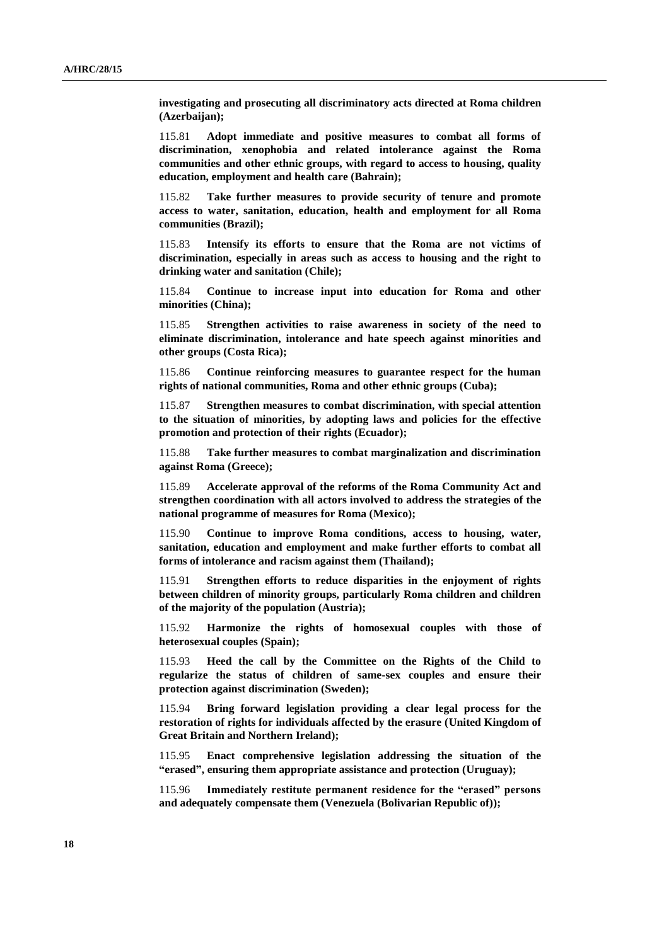**investigating and prosecuting all discriminatory acts directed at Roma children (Azerbaijan);** 

115.81 **Adopt immediate and positive measures to combat all forms of discrimination, xenophobia and related intolerance against the Roma communities and other ethnic groups, with regard to access to housing, quality education, employment and health care (Bahrain);** 

115.82 **Take further measures to provide security of tenure and promote access to water, sanitation, education, health and employment for all Roma communities (Brazil);** 

115.83 **Intensify its efforts to ensure that the Roma are not victims of discrimination, especially in areas such as access to housing and the right to drinking water and sanitation (Chile);** 

115.84 **Continue to increase input into education for Roma and other minorities (China);** 

115.85 **Strengthen activities to raise awareness in society of the need to eliminate discrimination, intolerance and hate speech against minorities and other groups (Costa Rica);** 

115.86 **Continue reinforcing measures to guarantee respect for the human rights of national communities, Roma and other ethnic groups (Cuba);** 

115.87 **Strengthen measures to combat discrimination, with special attention to the situation of minorities, by adopting laws and policies for the effective promotion and protection of their rights (Ecuador);** 

115.88 **Take further measures to combat marginalization and discrimination against Roma (Greece);** 

115.89 **Accelerate approval of the reforms of the Roma Community Act and strengthen coordination with all actors involved to address the strategies of the national programme of measures for Roma (Mexico);** 

115.90 **Continue to improve Roma conditions, access to housing, water, sanitation, education and employment and make further efforts to combat all forms of intolerance and racism against them (Thailand);** 

115.91 **Strengthen efforts to reduce disparities in the enjoyment of rights between children of minority groups, particularly Roma children and children of the majority of the population (Austria);** 

115.92 **Harmonize the rights of homosexual couples with those of heterosexual couples (Spain);** 

115.93 **Heed the call by the Committee on the Rights of the Child to regularize the status of children of same-sex couples and ensure their protection against discrimination (Sweden);** 

115.94 **Bring forward legislation providing a clear legal process for the restoration of rights for individuals affected by the erasure (United Kingdom of Great Britain and Northern Ireland);** 

115.95 **Enact comprehensive legislation addressing the situation of the "erased", ensuring them appropriate assistance and protection (Uruguay);** 

115.96 **Immediately restitute permanent residence for the "erased" persons and adequately compensate them (Venezuela (Bolivarian Republic of));**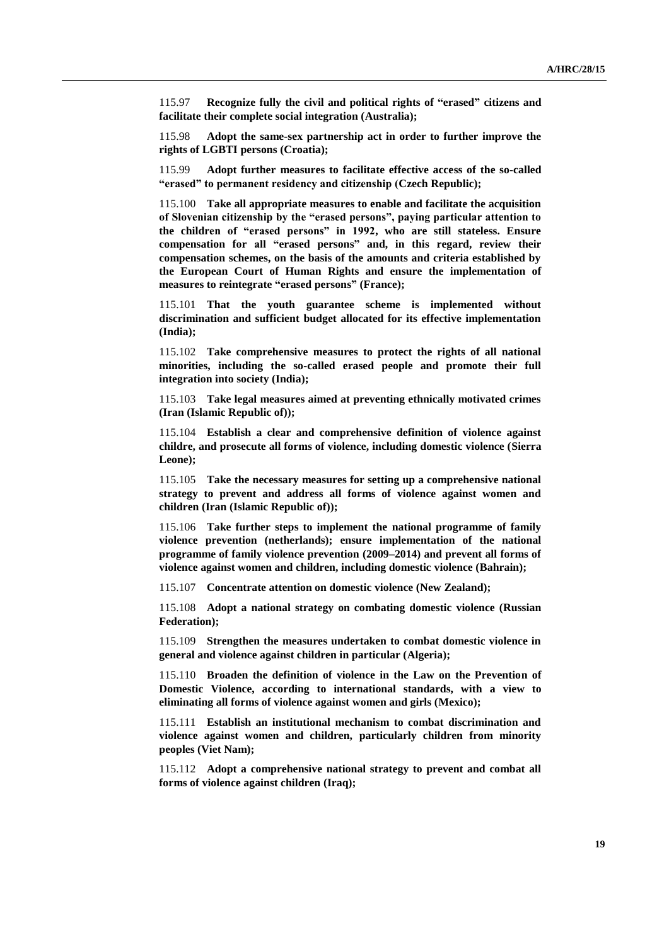115.97 **Recognize fully the civil and political rights of "erased" citizens and facilitate their complete social integration (Australia);** 

115.98 **Adopt the same-sex partnership act in order to further improve the rights of LGBTI persons (Croatia);** 

115.99 **Adopt further measures to facilitate effective access of the so-called "erased" to permanent residency and citizenship (Czech Republic);** 

115.100 **Take all appropriate measures to enable and facilitate the acquisition of Slovenian citizenship by the "erased persons", paying particular attention to the children of "erased persons" in 1992, who are still stateless. Ensure compensation for all "erased persons" and, in this regard, review their compensation schemes, on the basis of the amounts and criteria established by the European Court of Human Rights and ensure the implementation of measures to reintegrate "erased persons" (France);** 

115.101 **That the youth guarantee scheme is implemented without discrimination and sufficient budget allocated for its effective implementation (India);** 

115.102 **Take comprehensive measures to protect the rights of all national minorities, including the so-called erased people and promote their full integration into society (India);**

115.103 **Take legal measures aimed at preventing ethnically motivated crimes (Iran (Islamic Republic of));** 

115.104 **Establish a clear and comprehensive definition of violence against childre, and prosecute all forms of violence, including domestic violence (Sierra Leone);** 

115.105 **Take the necessary measures for setting up a comprehensive national strategy to prevent and address all forms of violence against women and children (Iran (Islamic Republic of));** 

115.106 **Take further steps to implement the national programme of family violence prevention (netherlands); ensure implementation of the national programme of family violence prevention (2009–2014) and prevent all forms of violence against women and children, including domestic violence (Bahrain);** 

115.107 **Concentrate attention on domestic violence (New Zealand);** 

115.108 **Adopt a national strategy on combating domestic violence (Russian Federation);**

115.109 **Strengthen the measures undertaken to combat domestic violence in general and violence against children in particular (Algeria);** 

115.110 **Broaden the definition of violence in the Law on the Prevention of Domestic Violence, according to international standards, with a view to eliminating all forms of violence against women and girls (Mexico);** 

115.111 **Establish an institutional mechanism to combat discrimination and violence against women and children, particularly children from minority peoples (Viet Nam);** 

115.112 **Adopt a comprehensive national strategy to prevent and combat all forms of violence against children (Iraq);**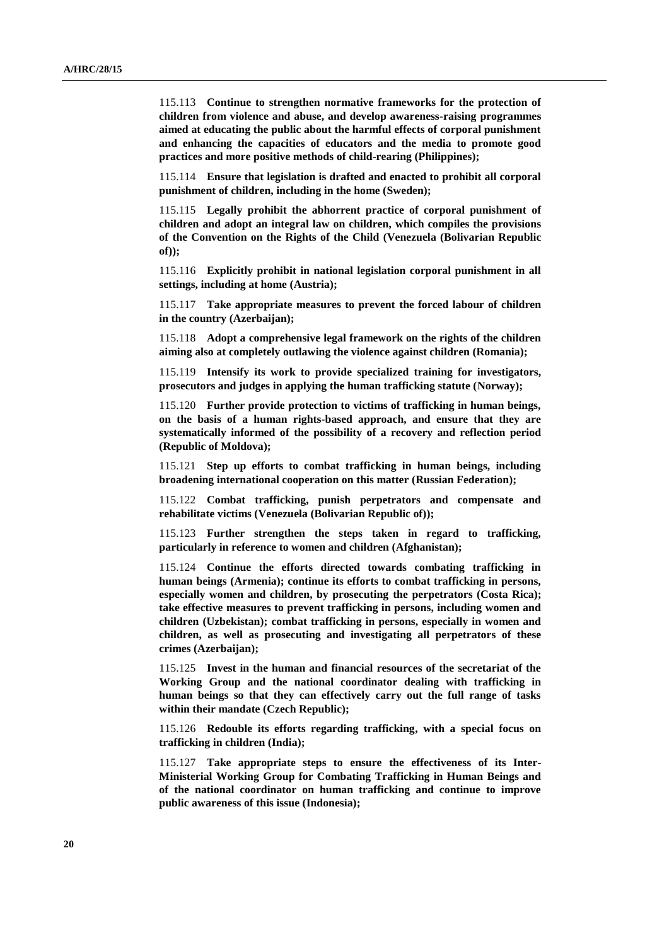115.113 **Continue to strengthen normative frameworks for the protection of children from violence and abuse, and develop awareness-raising programmes aimed at educating the public about the harmful effects of corporal punishment and enhancing the capacities of educators and the media to promote good practices and more positive methods of child-rearing (Philippines);** 

115.114 **Ensure that legislation is drafted and enacted to prohibit all corporal punishment of children, including in the home (Sweden);**

115.115 **Legally prohibit the abhorrent practice of corporal punishment of children and adopt an integral law on children, which compiles the provisions of the Convention on the Rights of the Child (Venezuela (Bolivarian Republic of));** 

115.116 **Explicitly prohibit in national legislation corporal punishment in all settings, including at home (Austria);** 

115.117 **Take appropriate measures to prevent the forced labour of children in the country (Azerbaijan);** 

115.118 **Adopt a comprehensive legal framework on the rights of the children aiming also at completely outlawing the violence against children (Romania);** 

115.119 **Intensify its work to provide specialized training for investigators, prosecutors and judges in applying the human trafficking statute (Norway);** 

115.120 **Further provide protection to victims of trafficking in human beings, on the basis of a human rights-based approach, and ensure that they are systematically informed of the possibility of a recovery and reflection period (Republic of Moldova);** 

115.121 **Step up efforts to combat trafficking in human beings, including broadening international cooperation on this matter (Russian Federation);** 

115.122 **Combat trafficking, punish perpetrators and compensate and rehabilitate victims (Venezuela (Bolivarian Republic of));**

115.123 **Further strengthen the steps taken in regard to trafficking, particularly in reference to women and children (Afghanistan);** 

115.124 **Continue the efforts directed towards combating trafficking in human beings (Armenia); continue its efforts to combat trafficking in persons, especially women and children, by prosecuting the perpetrators (Costa Rica); take effective measures to prevent trafficking in persons, including women and children (Uzbekistan); combat trafficking in persons, especially in women and children, as well as prosecuting and investigating all perpetrators of these crimes (Azerbaijan);** 

115.125 **Invest in the human and financial resources of the secretariat of the Working Group and the national coordinator dealing with trafficking in human beings so that they can effectively carry out the full range of tasks within their mandate (Czech Republic);** 

115.126 **Redouble its efforts regarding trafficking, with a special focus on trafficking in children (India);**

115.127 **Take appropriate steps to ensure the effectiveness of its Inter-Ministerial Working Group for Combating Trafficking in Human Beings and of the national coordinator on human trafficking and continue to improve public awareness of this issue (Indonesia);**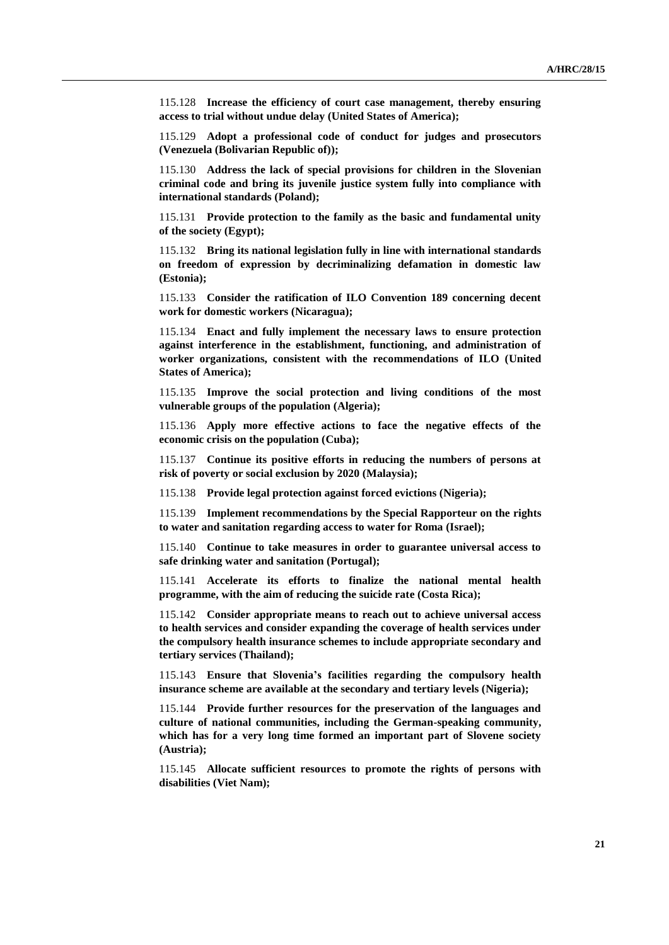115.128 **Increase the efficiency of court case management, thereby ensuring access to trial without undue delay (United States of America);**

115.129 **Adopt a professional code of conduct for judges and prosecutors (Venezuela (Bolivarian Republic of));** 

115.130 **Address the lack of special provisions for children in the Slovenian criminal code and bring its juvenile justice system fully into compliance with international standards (Poland);**

115.131 **Provide protection to the family as the basic and fundamental unity of the society (Egypt);** 

115.132 **Bring its national legislation fully in line with international standards on freedom of expression by decriminalizing defamation in domestic law (Estonia);** 

115.133 **Consider the ratification of ILO Convention 189 concerning decent work for domestic workers (Nicaragua);** 

115.134 **Enact and fully implement the necessary laws to ensure protection against interference in the establishment, functioning, and administration of worker organizations, consistent with the recommendations of ILO (United States of America);** 

115.135 **Improve the social protection and living conditions of the most vulnerable groups of the population (Algeria);** 

115.136 **Apply more effective actions to face the negative effects of the economic crisis on the population (Cuba);**

115.137 **Continue its positive efforts in reducing the numbers of persons at risk of poverty or social exclusion by 2020 (Malaysia);** 

115.138 **Provide legal protection against forced evictions (Nigeria);** 

115.139 **Implement recommendations by the Special Rapporteur on the rights to water and sanitation regarding access to water for Roma (Israel);** 

115.140 **Continue to take measures in order to guarantee universal access to safe drinking water and sanitation (Portugal);** 

115.141 **Accelerate its efforts to finalize the national mental health programme, with the aim of reducing the suicide rate (Costa Rica);** 

115.142 **Consider appropriate means to reach out to achieve universal access to health services and consider expanding the coverage of health services under the compulsory health insurance schemes to include appropriate secondary and tertiary services (Thailand);** 

115.143 **Ensure that Slovenia's facilities regarding the compulsory health insurance scheme are available at the secondary and tertiary levels (Nigeria);** 

115.144 **Provide further resources for the preservation of the languages and culture of national communities, including the German-speaking community, which has for a very long time formed an important part of Slovene society (Austria);** 

115.145 **Allocate sufficient resources to promote the rights of persons with disabilities (Viet Nam);**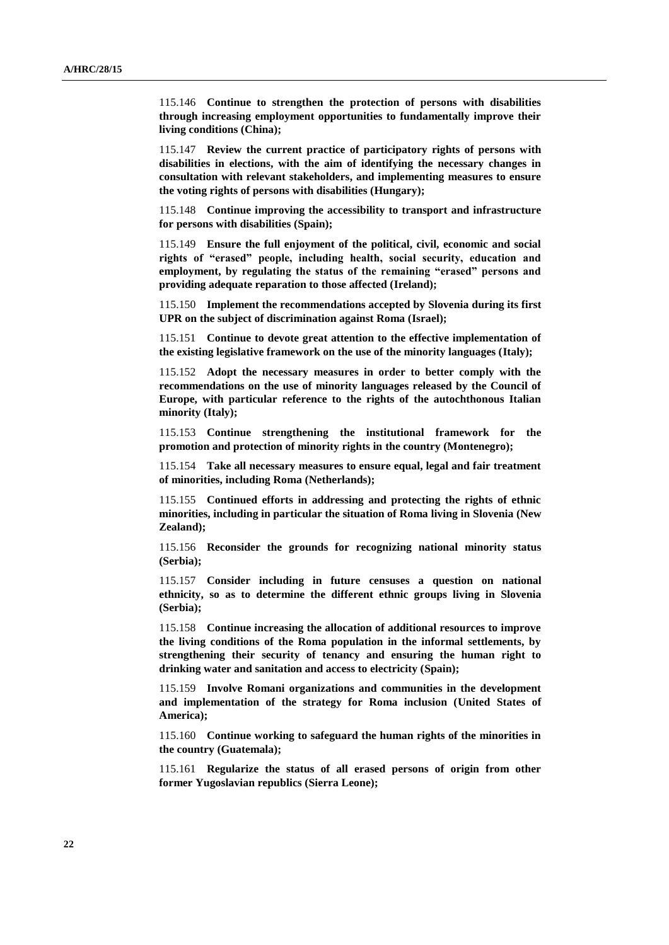115.146 **Continue to strengthen the protection of persons with disabilities through increasing employment opportunities to fundamentally improve their living conditions (China);** 

115.147 **Review the current practice of participatory rights of persons with disabilities in elections, with the aim of identifying the necessary changes in consultation with relevant stakeholders, and implementing measures to ensure the voting rights of persons with disabilities (Hungary);** 

115.148 **Continue improving the accessibility to transport and infrastructure for persons with disabilities (Spain);**

115.149 **Ensure the full enjoyment of the political, civil, economic and social rights of "erased" people, including health, social security, education and employment, by regulating the status of the remaining "erased" persons and providing adequate reparation to those affected (Ireland);** 

115.150 **Implement the recommendations accepted by Slovenia during its first UPR on the subject of discrimination against Roma (Israel);** 

115.151 **Continue to devote great attention to the effective implementation of the existing legislative framework on the use of the minority languages (Italy);** 

115.152 **Adopt the necessary measures in order to better comply with the recommendations on the use of minority languages released by the Council of Europe, with particular reference to the rights of the autochthonous Italian minority (Italy);** 

115.153 **Continue strengthening the institutional framework for the promotion and protection of minority rights in the country (Montenegro);** 

115.154 **Take all necessary measures to ensure equal, legal and fair treatment of minorities, including Roma (Netherlands);** 

115.155 **Continued efforts in addressing and protecting the rights of ethnic minorities, including in particular the situation of Roma living in Slovenia (New Zealand);** 

115.156 **Reconsider the grounds for recognizing national minority status (Serbia);** 

115.157 **Consider including in future censuses a question on national ethnicity, so as to determine the different ethnic groups living in Slovenia (Serbia);** 

115.158 **Continue increasing the allocation of additional resources to improve the living conditions of the Roma population in the informal settlements, by strengthening their security of tenancy and ensuring the human right to drinking water and sanitation and access to electricity (Spain);** 

115.159 **Involve Romani organizations and communities in the development and implementation of the strategy for Roma inclusion (United States of America);** 

115.160 **Continue working to safeguard the human rights of the minorities in the country (Guatemala);** 

115.161 **Regularize the status of all erased persons of origin from other former Yugoslavian republics (Sierra Leone);**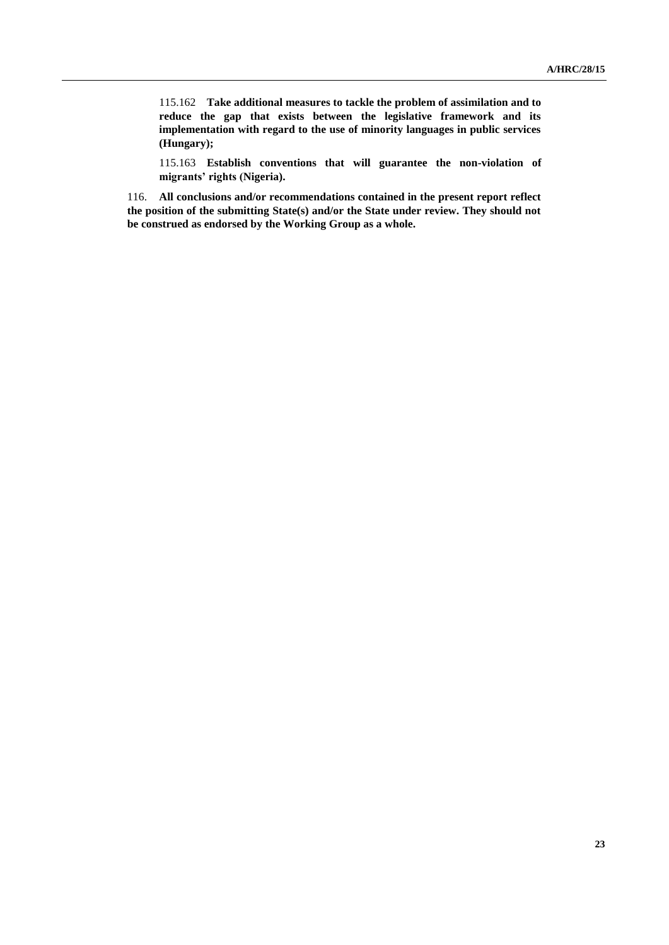115.162 **Take additional measures to tackle the problem of assimilation and to reduce the gap that exists between the legislative framework and its implementation with regard to the use of minority languages in public services (Hungary);** 

115.163 **Establish conventions that will guarantee the non-violation of migrants' rights (Nigeria).**

116. **All conclusions and/or recommendations contained in the present report reflect the position of the submitting State(s) and/or the State under review. They should not be construed as endorsed by the Working Group as a whole.**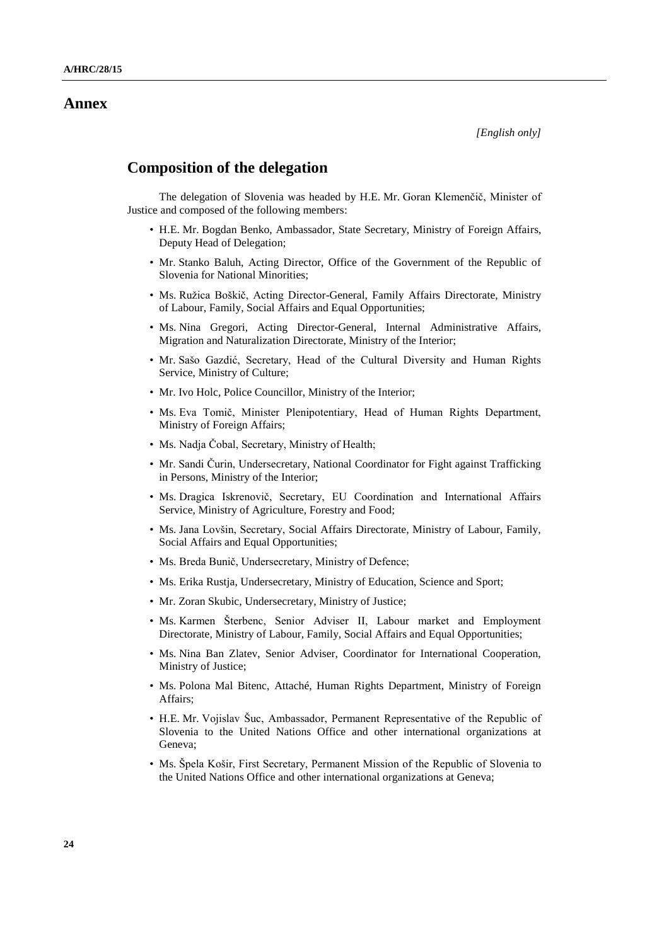### **Annex**

## **Composition of the delegation**

The delegation of Slovenia was headed by H.E. Mr. Goran Klemenčič, Minister of Justice and composed of the following members:

- H.E. Mr. Bogdan Benko, Ambassador, State Secretary, Ministry of Foreign Affairs, Deputy Head of Delegation;
- Mr. Stanko Baluh, Acting Director, Office of the Government of the Republic of Slovenia for National Minorities;
- Ms. Ružica Boškič, Acting Director-General, Family Affairs Directorate, Ministry of Labour, Family, Social Affairs and Equal Opportunities;
- Ms. Nina Gregori, Acting Director-General, Internal Administrative Affairs, Migration and Naturalization Directorate, Ministry of the Interior;
- Mr. Sašo Gazdić, Secretary, Head of the Cultural Diversity and Human Rights Service, Ministry of Culture;
- Mr. Ivo Holc, Police Councillor, Ministry of the Interior;
- Ms. Eva Tomič, Minister Plenipotentiary, Head of Human Rights Department, Ministry of Foreign Affairs;
- Ms. Nadja Čobal, Secretary, Ministry of Health;
- Mr. Sandi Čurin, Undersecretary, National Coordinator for Fight against Trafficking in Persons, Ministry of the Interior;
- Ms. Dragica Iskrenovič, Secretary, EU Coordination and International Affairs Service, Ministry of Agriculture, Forestry and Food;
- Ms. Jana Lovšin, Secretary, Social Affairs Directorate, Ministry of Labour, Family, Social Affairs and Equal Opportunities;
- Ms. Breda Bunič, Undersecretary, Ministry of Defence;
- Ms. Erika Rustja, Undersecretary, Ministry of Education, Science and Sport;
- Mr. Zoran Skubic, Undersecretary, Ministry of Justice;
- Ms. Karmen Šterbenc, Senior Adviser II, Labour market and Employment Directorate, Ministry of Labour, Family, Social Affairs and Equal Opportunities;
- Ms. Nina Ban Zlatev, Senior Adviser, Coordinator for International Cooperation, Ministry of Justice;
- Ms. Polona Mal Bitenc, Attaché, Human Rights Department, Ministry of Foreign Affairs;
- H.E. Mr. Vojislav Šuc, Ambassador, Permanent Representative of the Republic of Slovenia to the United Nations Office and other international organizations at Geneva;
- Ms. Špela Košir, First Secretary, Permanent Mission of the Republic of Slovenia to the United Nations Office and other international organizations at Geneva;